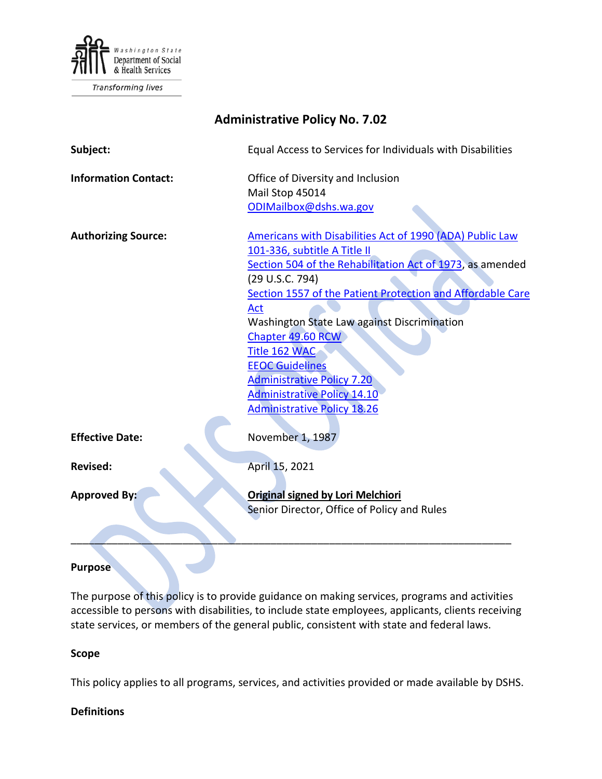

**Transforming lives** 

| <b>Administrative Policy No. 7.02</b> |                                                                                                                                                                                                                                                                                                                                                                                                                                                                               |
|---------------------------------------|-------------------------------------------------------------------------------------------------------------------------------------------------------------------------------------------------------------------------------------------------------------------------------------------------------------------------------------------------------------------------------------------------------------------------------------------------------------------------------|
| Subject:                              | Equal Access to Services for Individuals with Disabilities                                                                                                                                                                                                                                                                                                                                                                                                                    |
| <b>Information Contact:</b>           | Office of Diversity and Inclusion<br>Mail Stop 45014<br>ODIMailbox@dshs.wa.gov                                                                                                                                                                                                                                                                                                                                                                                                |
| <b>Authorizing Source:</b>            | Americans with Disabilities Act of 1990 (ADA) Public Law<br>101-336, subtitle A Title II<br>Section 504 of the Rehabilitation Act of 1973, as amended<br>(29 U.S.C. 794)<br>Section 1557 of the Patient Protection and Affordable Care<br>Act<br>Washington State Law against Discrimination<br>Chapter 49.60 RCW<br>Title 162 WAC<br><b>EEOC Guidelines</b><br><b>Administrative Policy 7.20</b><br><b>Administrative Policy 14.10</b><br><b>Administrative Policy 18.26</b> |
| <b>Effective Date:</b>                | November 1, 1987                                                                                                                                                                                                                                                                                                                                                                                                                                                              |
| <b>Revised:</b>                       | April 15, 2021                                                                                                                                                                                                                                                                                                                                                                                                                                                                |
| <b>Approved By:</b>                   | <b>Original signed by Lori Melchiori</b><br>Senior Director, Office of Policy and Rules                                                                                                                                                                                                                                                                                                                                                                                       |
|                                       |                                                                                                                                                                                                                                                                                                                                                                                                                                                                               |

#### **Purpose**

The purpose of this policy is to provide guidance on making services, programs and activities accessible to persons with disabilities, to include state employees, applicants, clients receiving state services, or members of the general public, consistent with state and federal laws.

#### **Scope**

This policy applies to all programs, services, and activities provided or made available by DSHS.

### **Definitions**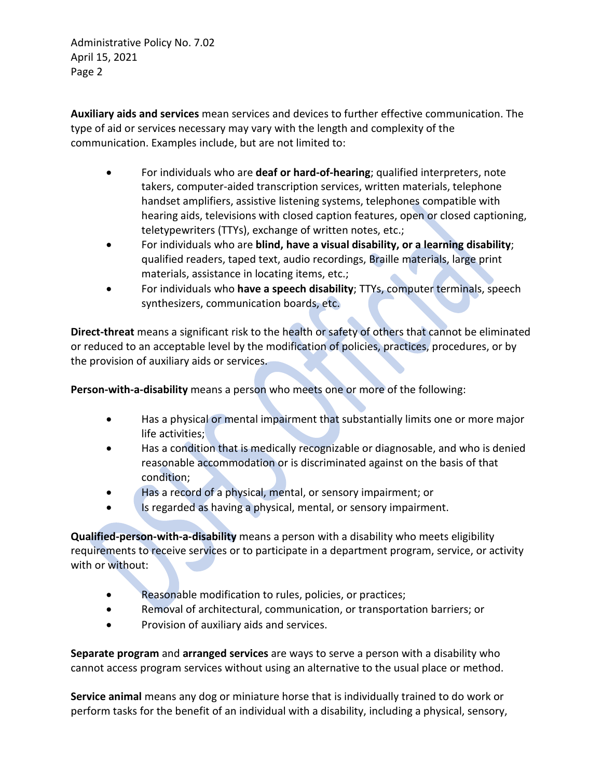**Auxiliary aids and services** mean services and devices to further effective communication. The type of aid or services necessary may vary with the length and complexity of the communication. Examples include, but are not limited to:

- For individuals who are **deaf or hard-of-hearing**; qualified interpreters, note takers, computer-aided transcription services, written materials, telephone handset amplifiers, assistive listening systems, telephones compatible with hearing aids, televisions with closed caption features, open or closed captioning, teletypewriters (TTYs), exchange of written notes, etc.;
- For individuals who are **blind, have a visual disability, or a learning disability**; qualified readers, taped text, audio recordings, Braille materials, large print materials, assistance in locating items, etc.;
- For individuals who **have a speech disability**; TTYs, computer terminals, speech synthesizers, communication boards, etc.

**Direct-threat** means a significant risk to the health or safety of others that cannot be eliminated or reduced to an acceptable level by the modification of policies, practices, procedures, or by the provision of auxiliary aids or services.

**Person-with-a-disability** means a person who meets one or more of the following:

- Has a physical or mental impairment that substantially limits one or more major life activities;
- Has a condition that is medically recognizable or diagnosable, and who is denied reasonable accommodation or is discriminated against on the basis of that condition;
- Has a record of a physical, mental, or sensory impairment; or
- Is regarded as having a physical, mental, or sensory impairment.

**Qualified-person-with-a-disability** means a person with a disability who meets eligibility requirements to receive services or to participate in a department program, service, or activity with or without:

- Reasonable modification to rules, policies, or practices;
- Removal of architectural, communication, or transportation barriers; or
- Provision of auxiliary aids and services.

**Separate program** and **arranged services** are ways to serve a person with a disability who cannot access program services without using an alternative to the usual place or method.

**Service animal** means any dog or miniature horse that is individually trained to do work or perform tasks for the benefit of an individual with a disability, including a physical, sensory,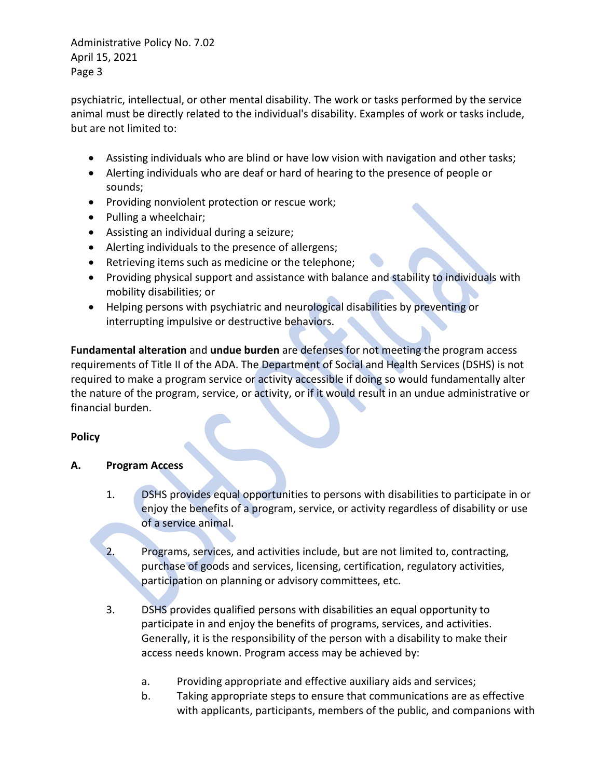psychiatric, intellectual, or other mental disability. The work or tasks performed by the service animal must be directly related to the individual's disability. Examples of work or tasks include, but are not limited to:

- Assisting individuals who are blind or have low vision with navigation and other tasks;
- Alerting individuals who are deaf or hard of hearing to the presence of people or sounds;
- Providing nonviolent protection or rescue work;
- Pulling a wheelchair;
- Assisting an individual during a seizure;
- Alerting individuals to the presence of allergens;
- Retrieving items such as medicine or the telephone;
- Providing physical support and assistance with balance and stability to individuals with mobility disabilities; or
- Helping persons with psychiatric and neurological disabilities by preventing or interrupting impulsive or destructive behaviors.

**Fundamental alteration** and **undue burden** are defenses for not meeting the program access requirements of Title II of the ADA. The Department of Social and Health Services (DSHS) is not required to make a program service or activity accessible if doing so would fundamentally alter the nature of the program, service, or activity, or if it would result in an undue administrative or financial burden.

# **Policy**

### **A. Program Access**

- 1. DSHS provides equal opportunities to persons with disabilities to participate in or enjoy the benefits of a program, service, or activity regardless of disability or use of a service animal.
- 2. Programs, services, and activities include, but are not limited to, contracting, purchase of goods and services, licensing, certification, regulatory activities, participation on planning or advisory committees, etc.
- 3. DSHS provides qualified persons with disabilities an equal opportunity to participate in and enjoy the benefits of programs, services, and activities. Generally, it is the responsibility of the person with a disability to make their access needs known. Program access may be achieved by:
	- a. Providing appropriate and effective auxiliary aids and services;
	- b. Taking appropriate steps to ensure that communications are as effective with applicants, participants, members of the public, and companions with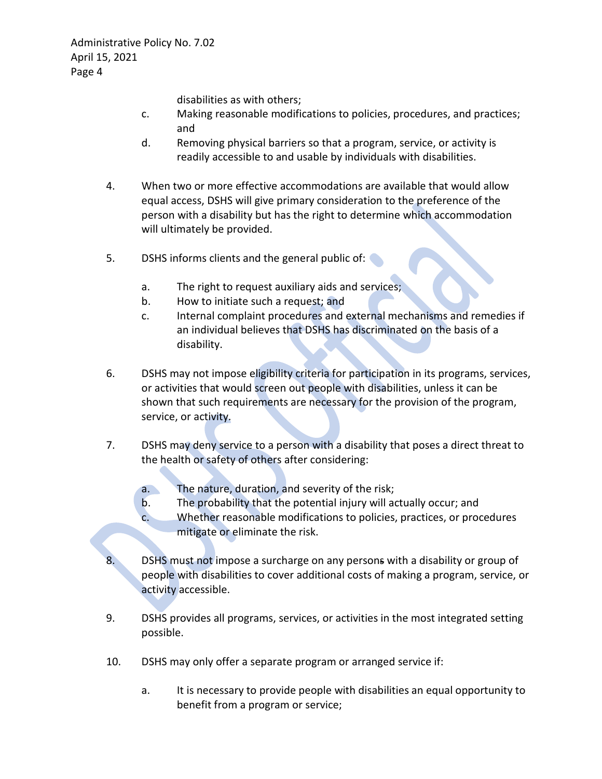disabilities as with others;

- c. Making reasonable modifications to policies, procedures, and practices; and
- d. Removing physical barriers so that a program, service, or activity is readily accessible to and usable by individuals with disabilities.
- 4. When two or more effective accommodations are available that would allow equal access, DSHS will give primary consideration to the preference of the person with a disability but has the right to determine which accommodation will ultimately be provided.
- 5. DSHS informs clients and the general public of:
	- a. The right to request auxiliary aids and services;
	- b. How to initiate such a request; and
	- c. Internal complaint procedures and external mechanisms and remedies if an individual believes that DSHS has discriminated on the basis of a disability.
- 6. DSHS may not impose eligibility criteria for participation in its programs, services, or activities that would screen out people with disabilities, unless it can be shown that such requirements are necessary for the provision of the program, service, or activity.
- 7. DSHS may deny service to a person with a disability that poses a direct threat to the health or safety of others after considering:
	- a. The nature, duration, and severity of the risk;
	- b. The probability that the potential injury will actually occur; and
	- c. Whether reasonable modifications to policies, practices, or procedures mitigate or eliminate the risk.
- DSHS must not impose a surcharge on any persons with a disability or group of people with disabilities to cover additional costs of making a program, service, or activity accessible.
- 9. DSHS provides all programs, services, or activities in the most integrated setting possible.
- 10. DSHS may only offer a separate program or arranged service if:
	- a. It is necessary to provide people with disabilities an equal opportunity to benefit from a program or service;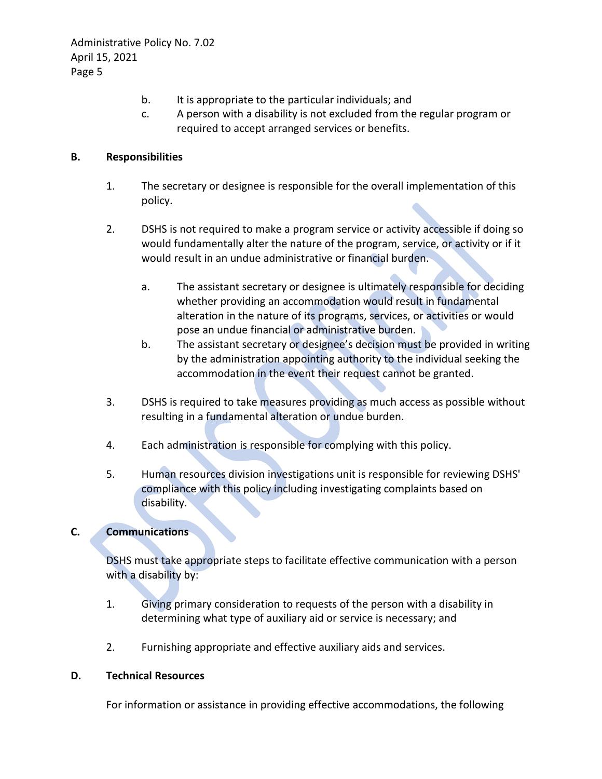- b. It is appropriate to the particular individuals; and
- c. A person with a disability is not excluded from the regular program or required to accept arranged services or benefits.

## **B. Responsibilities**

- 1. The secretary or designee is responsible for the overall implementation of this policy.
- 2. DSHS is not required to make a program service or activity accessible if doing so would fundamentally alter the nature of the program, service, or activity or if it would result in an undue administrative or financial burden.
	- a. The assistant secretary or designee is ultimately responsible for deciding whether providing an accommodation would result in fundamental alteration in the nature of its programs, services, or activities or would pose an undue financial or administrative burden.
	- b. The assistant secretary or designee's decision must be provided in writing by the administration appointing authority to the individual seeking the accommodation in the event their request cannot be granted.
- 3. DSHS is required to take measures providing as much access as possible without resulting in a fundamental alteration or undue burden.
- 4. Each administration is responsible for complying with this policy.
- 5. Human resources division investigations unit is responsible for reviewing DSHS' compliance with this policy including investigating complaints based on disability.

# **C. Communications**

DSHS must take appropriate steps to facilitate effective communication with a person with a disability by:

- 1. Giving primary consideration to requests of the person with a disability in determining what type of auxiliary aid or service is necessary; and
- 2. Furnishing appropriate and effective auxiliary aids and services.

### **D. Technical Resources**

For information or assistance in providing effective accommodations, the following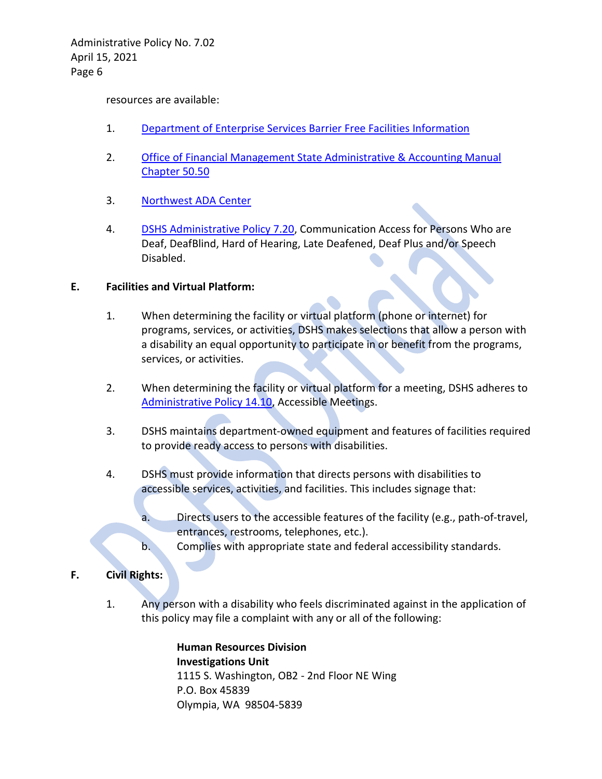resources are available:

- 1. [Department of Enterprise Services Barrier Free Facilities Information](https://des.wa.gov/services/facilities-leasing/public-works-design-construction/state-agencies-and-educational-facilities/barrier-free-facilities)
- 2. [Office of Financial Management State Administrative & Accounting Manual](https://ofm.wa.gov/sites/default/files/public/legacy/policy/50.50.htm)  [Chapter 50.50](https://ofm.wa.gov/sites/default/files/public/legacy/policy/50.50.htm)
- 3. Northwest [ADA Center](http://nwadacenter.org/)
- 4. [DSHS Administrative Policy 7.20,](http://one.dshs.wa.lcl/Policies/Administrative/DSHS-AP-07-20.pdf) Communication Access for Persons Who are Deaf, DeafBlind, Hard of Hearing, Late Deafened, Deaf Plus and/or Speech Disabled.

### **E. Facilities and Virtual Platform:**

- 1. When determining the facility or virtual platform (phone or internet) for programs, services, or activities, DSHS makes selections that allow a person with a disability an equal opportunity to participate in or benefit from the programs, services, or activities.
- 2. When determining the facility or virtual platform for a meeting, DSHS adheres to [Administrative Policy 14.10,](http://one.dshs.wa.lcl/Policies/Administrative/DSHS-AP-14-10.pdf) Accessible Meetings.
- 3. DSHS maintains department-owned equipment and features of facilities required to provide ready access to persons with disabilities.
- 4. DSHS must provide information that directs persons with disabilities to accessible services, activities, and facilities. This includes signage that:
	- a. Directs users to the accessible features of the facility (e.g., path-of-travel, entrances, restrooms, telephones, etc.).
	- b. Complies with appropriate state and federal accessibility standards.

### **F. Civil Rights:**

1. Any person with a disability who feels discriminated against in the application of this policy may file a complaint with any or all of the following:

> **Human Resources Division Investigations Unit**  1115 S. Washington, OB2 - 2nd Floor NE Wing P.O. Box 45839 Olympia, WA 98504-5839